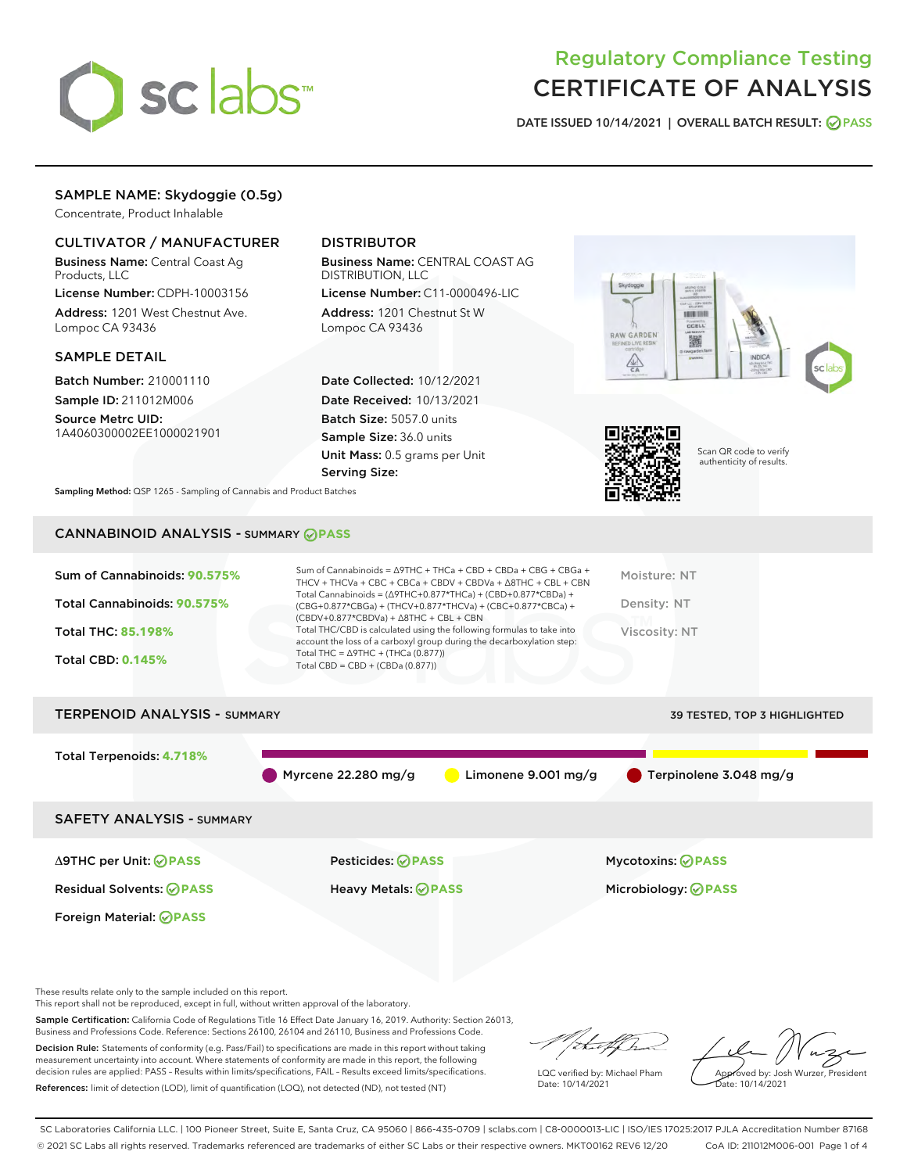

# Regulatory Compliance Testing CERTIFICATE OF ANALYSIS

DATE ISSUED 10/14/2021 | OVERALL BATCH RESULT: @ PASS

# SAMPLE NAME: Skydoggie (0.5g)

Concentrate, Product Inhalable

### CULTIVATOR / MANUFACTURER

Business Name: Central Coast Ag Products, LLC

License Number: CDPH-10003156 Address: 1201 West Chestnut Ave. Lompoc CA 93436

#### SAMPLE DETAIL

Batch Number: 210001110 Sample ID: 211012M006

Source Metrc UID: 1A4060300002EE1000021901

## DISTRIBUTOR

Business Name: CENTRAL COAST AG DISTRIBUTION, LLC

License Number: C11-0000496-LIC Address: 1201 Chestnut St W Lompoc CA 93436

Date Collected: 10/12/2021 Date Received: 10/13/2021 Batch Size: 5057.0 units Sample Size: 36.0 units Unit Mass: 0.5 grams per Unit Serving Size:





Scan QR code to verify authenticity of results.

Sampling Method: QSP 1265 - Sampling of Cannabis and Product Batches

# CANNABINOID ANALYSIS - SUMMARY **PASS**

| Sum of Cannabinoids: 90.575%<br>Total Cannabinoids: 90.575%<br>Total THC: 85.198%<br><b>Total CBD: 0.145%</b> | Sum of Cannabinoids = $\triangle$ 9THC + THCa + CBD + CBDa + CBG + CBGa +<br>THCV + THCVa + CBC + CBCa + CBDV + CBDVa + $\Delta$ 8THC + CBL + CBN<br>Total Cannabinoids = (Δ9THC+0.877*THCa) + (CBD+0.877*CBDa) +<br>(CBG+0.877*CBGa) + (THCV+0.877*THCVa) + (CBC+0.877*CBCa) +<br>$(CBDV+0.877*CBDVa) + \Delta 8THC + CBL + CBN$<br>Total THC/CBD is calculated using the following formulas to take into<br>account the loss of a carboxyl group during the decarboxylation step:<br>Total THC = $\triangle$ 9THC + (THCa (0.877))<br>Total CBD = $CBD + (CBDa (0.877))$ | Moisture: NT<br>Density: NT<br>Viscosity: NT |
|---------------------------------------------------------------------------------------------------------------|----------------------------------------------------------------------------------------------------------------------------------------------------------------------------------------------------------------------------------------------------------------------------------------------------------------------------------------------------------------------------------------------------------------------------------------------------------------------------------------------------------------------------------------------------------------------------|----------------------------------------------|
| <b>TERPENOID ANALYSIS - SUMMARY</b>                                                                           |                                                                                                                                                                                                                                                                                                                                                                                                                                                                                                                                                                            | <b>39 TESTED, TOP 3 HIGHLIGHTED</b>          |
| Total Terpenoids: 4.718%                                                                                      | Myrcene $22.280$ mg/g<br>Limonene 9.001 mg/g                                                                                                                                                                                                                                                                                                                                                                                                                                                                                                                               | <b>Terpinolene 3.048 mg/g</b>                |

SAFETY ANALYSIS - SUMMARY

Δ9THC per Unit: **PASS** Pesticides: **PASS** Mycotoxins: **PASS**

Foreign Material: **PASS**

Residual Solvents: **PASS** Heavy Metals: **PASS** Microbiology: **PASS**

These results relate only to the sample included on this report.

This report shall not be reproduced, except in full, without written approval of the laboratory.

Sample Certification: California Code of Regulations Title 16 Effect Date January 16, 2019. Authority: Section 26013, Business and Professions Code. Reference: Sections 26100, 26104 and 26110, Business and Professions Code.

Decision Rule: Statements of conformity (e.g. Pass/Fail) to specifications are made in this report without taking measurement uncertainty into account. Where statements of conformity are made in this report, the following decision rules are applied: PASS – Results within limits/specifications, FAIL – Results exceed limits/specifications. References: limit of detection (LOD), limit of quantification (LOQ), not detected (ND), not tested (NT)

that f ha

LQC verified by: Michael Pham Date: 10/14/2021

Approved by: Josh Wurzer, President ate: 10/14/2021

SC Laboratories California LLC. | 100 Pioneer Street, Suite E, Santa Cruz, CA 95060 | 866-435-0709 | sclabs.com | C8-0000013-LIC | ISO/IES 17025:2017 PJLA Accreditation Number 87168 © 2021 SC Labs all rights reserved. Trademarks referenced are trademarks of either SC Labs or their respective owners. MKT00162 REV6 12/20 CoA ID: 211012M006-001 Page 1 of 4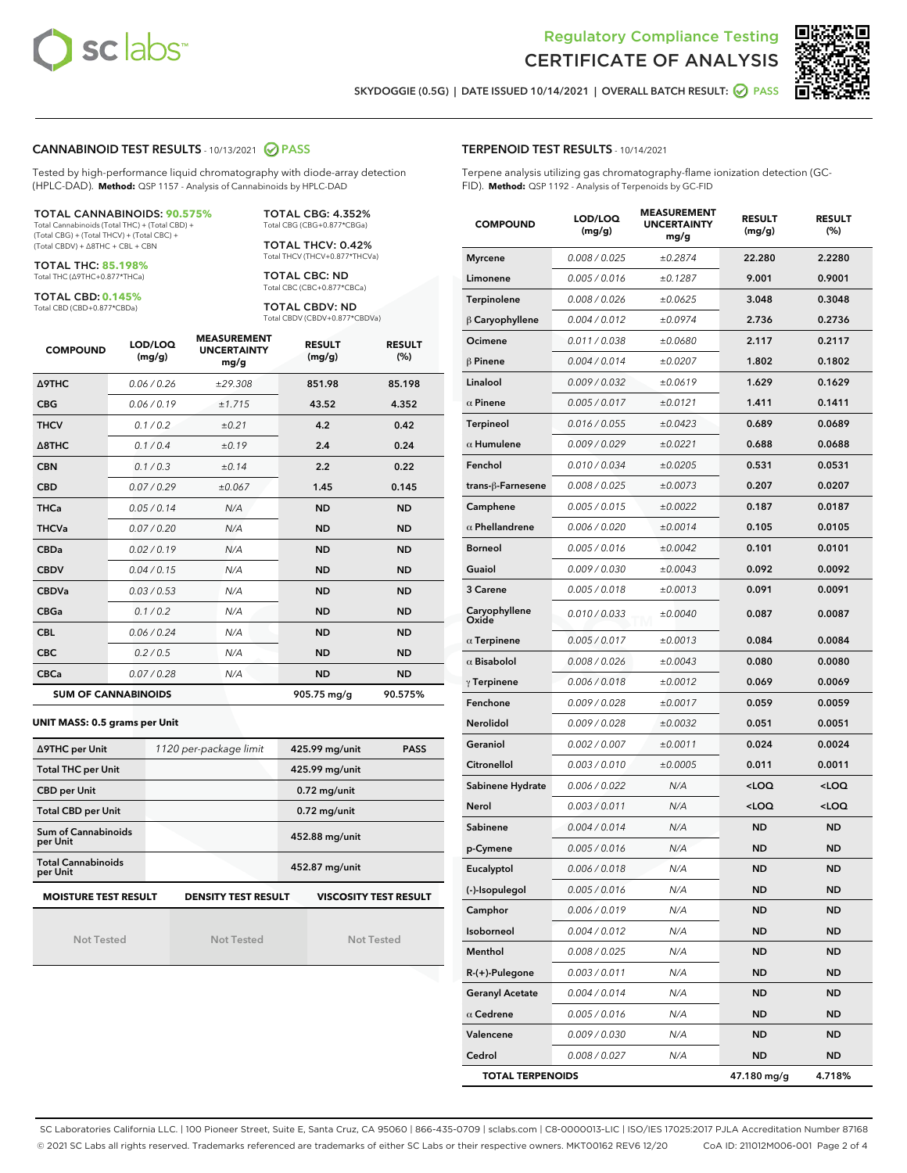



SKYDOGGIE (0.5G) | DATE ISSUED 10/14/2021 | OVERALL BATCH RESULT: @ PASS

#### CANNABINOID TEST RESULTS - 10/13/2021 2 PASS

Tested by high-performance liquid chromatography with diode-array detection (HPLC-DAD). **Method:** QSP 1157 - Analysis of Cannabinoids by HPLC-DAD

#### TOTAL CANNABINOIDS: **90.575%**

Total Cannabinoids (Total THC) + (Total CBD) + (Total CBG) + (Total THCV) + (Total CBC) + (Total CBDV) + ∆8THC + CBL + CBN

TOTAL THC: **85.198%** Total THC (∆9THC+0.877\*THCa)

TOTAL CBD: **0.145%**

Total CBD (CBD+0.877\*CBDa)

TOTAL CBG: 4.352% Total CBG (CBG+0.877\*CBGa)

TOTAL THCV: 0.42% Total THCV (THCV+0.877\*THCVa)

TOTAL CBC: ND Total CBC (CBC+0.877\*CBCa)

TOTAL CBDV: ND Total CBDV (CBDV+0.877\*CBDVa)

| <b>COMPOUND</b>            | LOD/LOQ<br>(mg/g) | <b>MEASUREMENT</b><br><b>UNCERTAINTY</b><br>mg/g | <b>RESULT</b><br>(mg/g) | <b>RESULT</b><br>(%) |
|----------------------------|-------------------|--------------------------------------------------|-------------------------|----------------------|
| <b>A9THC</b>               | 0.06/0.26         | ±29.308                                          | 851.98                  | 85.198               |
| <b>CBG</b>                 | 0.06/0.19         | ±1.715                                           | 43.52                   | 4.352                |
| <b>THCV</b>                | 0.1/0.2           | ±0.21                                            | 4.2                     | 0.42                 |
| $\triangle$ 8THC           | 0.1/0.4           | ±0.19                                            | 2.4                     | 0.24                 |
| <b>CBN</b>                 | 0.1/0.3           | ±0.14                                            | 2.2                     | 0.22                 |
| <b>CBD</b>                 | 0.07/0.29         | ±0.067                                           | 1.45                    | 0.145                |
| <b>THCa</b>                | 0.05/0.14         | N/A                                              | <b>ND</b>               | <b>ND</b>            |
| <b>THCVa</b>               | 0.07/0.20         | N/A                                              | <b>ND</b>               | <b>ND</b>            |
| <b>CBDa</b>                | 0.02/0.19         | N/A                                              | <b>ND</b>               | <b>ND</b>            |
| <b>CBDV</b>                | 0.04/0.15         | N/A                                              | <b>ND</b>               | <b>ND</b>            |
| <b>CBDVa</b>               | 0.03 / 0.53       | N/A                                              | <b>ND</b>               | <b>ND</b>            |
| <b>CBGa</b>                | 0.1/0.2           | N/A                                              | <b>ND</b>               | <b>ND</b>            |
| <b>CBL</b>                 | 0.06 / 0.24       | N/A                                              | <b>ND</b>               | <b>ND</b>            |
| <b>CBC</b>                 | 0.2 / 0.5         | N/A                                              | <b>ND</b>               | <b>ND</b>            |
| <b>CBCa</b>                | 0.07/0.28         | N/A                                              | <b>ND</b>               | <b>ND</b>            |
| <b>SUM OF CANNABINOIDS</b> |                   |                                                  | 905.75 mg/g             | 90.575%              |

#### **UNIT MASS: 0.5 grams per Unit**

| ∆9THC per Unit                        | 1120 per-package limit     | 425.99 mg/unit<br><b>PASS</b> |
|---------------------------------------|----------------------------|-------------------------------|
| <b>Total THC per Unit</b>             |                            | 425.99 mg/unit                |
| <b>CBD per Unit</b>                   |                            | $0.72$ mg/unit                |
| <b>Total CBD per Unit</b>             |                            | $0.72$ mg/unit                |
| Sum of Cannabinoids<br>per Unit       |                            | 452.88 mg/unit                |
| <b>Total Cannabinoids</b><br>per Unit |                            | 452.87 mg/unit                |
| <b>MOISTURE TEST RESULT</b>           | <b>DENSITY TEST RESULT</b> | <b>VISCOSITY TEST RESULT</b>  |

Not Tested

Not Tested

Not Tested

#### TERPENOID TEST RESULTS - 10/14/2021

Terpene analysis utilizing gas chromatography-flame ionization detection (GC-FID). **Method:** QSP 1192 - Analysis of Terpenoids by GC-FID

| <b>COMPOUND</b>         | LOD/LOQ<br>(mg/g) | <b>MEASUREMENT</b><br><b>UNCERTAINTY</b><br>mg/g | <b>RESULT</b><br>(mg/g)                         | <b>RESULT</b><br>$(\%)$ |
|-------------------------|-------------------|--------------------------------------------------|-------------------------------------------------|-------------------------|
| <b>Myrcene</b>          | 0.008 / 0.025     | ±0.2874                                          | 22.280                                          | 2.2280                  |
| Limonene                | 0.005 / 0.016     | ±0.1287                                          | 9.001                                           | 0.9001                  |
| Terpinolene             | 0.008 / 0.026     | ±0.0625                                          | 3.048                                           | 0.3048                  |
| $\beta$ Caryophyllene   | 0.004 / 0.012     | ±0.0974                                          | 2.736                                           | 0.2736                  |
| Ocimene                 | 0.011 / 0.038     | ±0.0680                                          | 2.117                                           | 0.2117                  |
| $\beta$ Pinene          | 0.004 / 0.014     | ±0.0207                                          | 1.802                                           | 0.1802                  |
| Linalool                | 0.009 / 0.032     | ±0.0619                                          | 1.629                                           | 0.1629                  |
| $\alpha$ Pinene         | 0.005 / 0.017     | ±0.0121                                          | 1.411                                           | 0.1411                  |
| <b>Terpineol</b>        | 0.016 / 0.055     | ±0.0423                                          | 0.689                                           | 0.0689                  |
| $\alpha$ Humulene       | 0.009 / 0.029     | ±0.0221                                          | 0.688                                           | 0.0688                  |
| Fenchol                 | 0.010 / 0.034     | ±0.0205                                          | 0.531                                           | 0.0531                  |
| trans-ß-Farnesene       | 0.008 / 0.025     | ±0.0073                                          | 0.207                                           | 0.0207                  |
| Camphene                | 0.005 / 0.015     | ±0.0022                                          | 0.187                                           | 0.0187                  |
| $\alpha$ Phellandrene   | 0.006 / 0.020     | ±0.0014                                          | 0.105                                           | 0.0105                  |
| <b>Borneol</b>          | 0.005 / 0.016     | ±0.0042                                          | 0.101                                           | 0.0101                  |
| Guaiol                  | 0.009 / 0.030     | ±0.0043                                          | 0.092                                           | 0.0092                  |
| 3 Carene                | 0.005 / 0.018     | ±0.0013                                          | 0.091                                           | 0.0091                  |
| Caryophyllene<br>Oxide  | 0.010 / 0.033     | ±0.0040                                          | 0.087                                           | 0.0087                  |
| $\alpha$ Terpinene      | 0.005 / 0.017     | ±0.0013                                          | 0.084                                           | 0.0084                  |
| $\alpha$ Bisabolol      | 0.008 / 0.026     | ±0.0043                                          | 0.080                                           | 0.0080                  |
| $\gamma$ Terpinene      | 0.006 / 0.018     | ±0.0012                                          | 0.069                                           | 0.0069                  |
| Fenchone                | 0.009 / 0.028     | ±0.0017                                          | 0.059                                           | 0.0059                  |
| Nerolidol               | 0.009 / 0.028     | ±0.0032                                          | 0.051                                           | 0.0051                  |
| Geraniol                | 0.002 / 0.007     | ±0.0011                                          | 0.024                                           | 0.0024                  |
| Citronellol             | 0.003 / 0.010     | ±0.0005                                          | 0.011                                           | 0.0011                  |
| Sabinene Hydrate        | 0.006 / 0.022     | N/A                                              | <loq< th=""><th><loq< th=""></loq<></th></loq<> | <loq< th=""></loq<>     |
| Nerol                   | 0.003 / 0.011     | N/A                                              | <loq< th=""><th><loq< th=""></loq<></th></loq<> | <loq< th=""></loq<>     |
| Sabinene                | 0.004 / 0.014     | N/A                                              | ND                                              | <b>ND</b>               |
| p-Cymene                | 0.005 / 0.016     | N/A                                              | ND                                              | <b>ND</b>               |
| Eucalyptol              | 0.006 / 0.018     | N/A                                              | <b>ND</b>                                       | <b>ND</b>               |
| (-)-Isopulegol          | 0.005 / 0.016     | N/A                                              | ND                                              | ND                      |
| Camphor                 | 0.006 / 0.019     | N/A                                              | <b>ND</b>                                       | <b>ND</b>               |
| Isoborneol              | 0.004 / 0.012     | N/A                                              | ND                                              | <b>ND</b>               |
| Menthol                 | 0.008 / 0.025     | N/A                                              | ND                                              | <b>ND</b>               |
| R-(+)-Pulegone          | 0.003 / 0.011     | N/A                                              | ND                                              | ND                      |
| <b>Geranyl Acetate</b>  | 0.004 / 0.014     | N/A                                              | ND                                              | ND                      |
| $\alpha$ Cedrene        | 0.005 / 0.016     | N/A                                              | ND                                              | ND                      |
| Valencene               | 0.009 / 0.030     | N/A                                              | ND                                              | ND                      |
| Cedrol                  | 0.008 / 0.027     | N/A                                              | ND                                              | <b>ND</b>               |
| <b>TOTAL TERPENOIDS</b> |                   |                                                  | 47.180 mg/g                                     | 4.718%                  |

SC Laboratories California LLC. | 100 Pioneer Street, Suite E, Santa Cruz, CA 95060 | 866-435-0709 | sclabs.com | C8-0000013-LIC | ISO/IES 17025:2017 PJLA Accreditation Number 87168 © 2021 SC Labs all rights reserved. Trademarks referenced are trademarks of either SC Labs or their respective owners. MKT00162 REV6 12/20 CoA ID: 211012M006-001 Page 2 of 4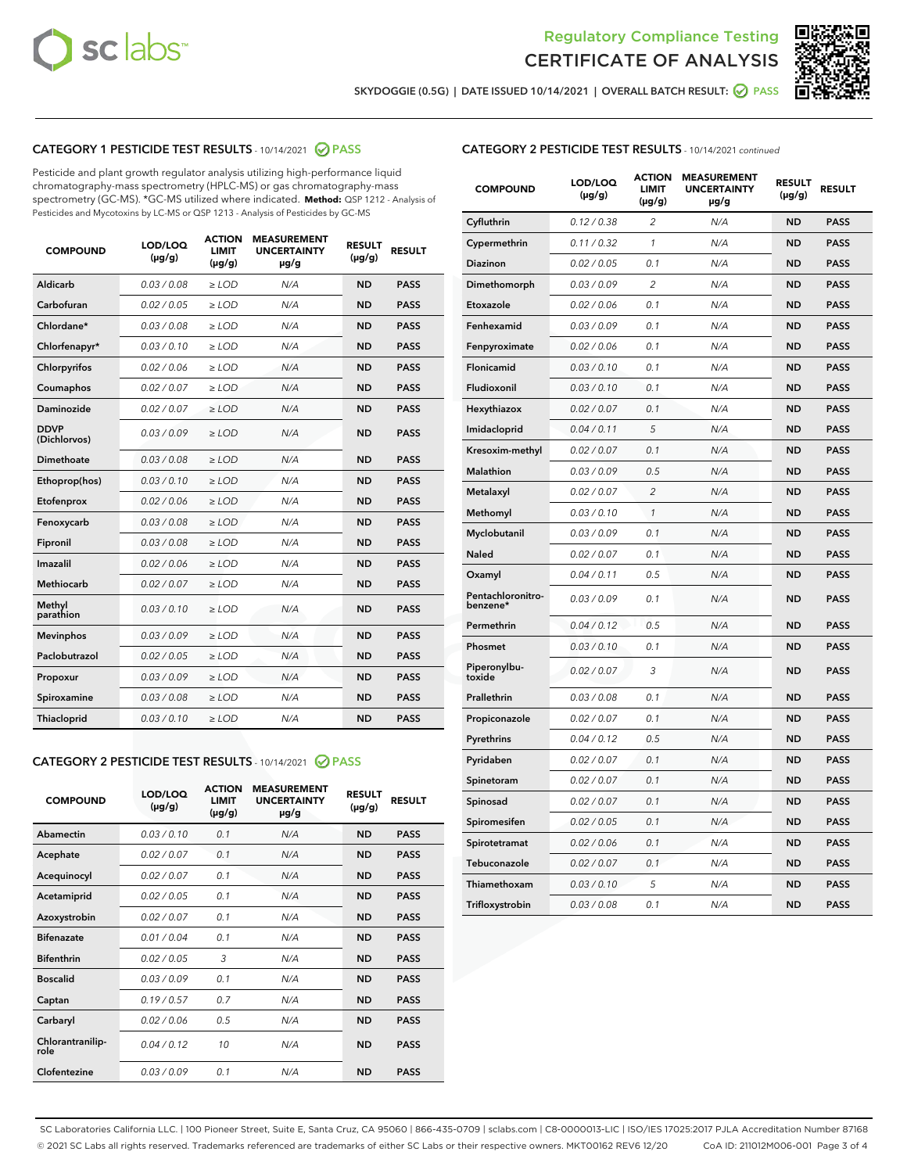



SKYDOGGIE (0.5G) | DATE ISSUED 10/14/2021 | OVERALL BATCH RESULT:  $\bigcirc$  PASS

## CATEGORY 1 PESTICIDE TEST RESULTS - 10/14/2021 2 PASS

Pesticide and plant growth regulator analysis utilizing high-performance liquid chromatography-mass spectrometry (HPLC-MS) or gas chromatography-mass spectrometry (GC-MS). \*GC-MS utilized where indicated. **Method:** QSP 1212 - Analysis of Pesticides and Mycotoxins by LC-MS or QSP 1213 - Analysis of Pesticides by GC-MS

| <b>COMPOUND</b>             | LOD/LOQ<br>$(\mu g/g)$ | <b>ACTION</b><br><b>LIMIT</b><br>$(\mu g/g)$ | <b>MEASUREMENT</b><br><b>UNCERTAINTY</b><br>$\mu$ g/g | <b>RESULT</b><br>$(\mu g/g)$ | <b>RESULT</b> |
|-----------------------------|------------------------|----------------------------------------------|-------------------------------------------------------|------------------------------|---------------|
| Aldicarb                    | 0.03 / 0.08            | $\ge$ LOD                                    | N/A                                                   | <b>ND</b>                    | <b>PASS</b>   |
| Carbofuran                  | 0.02 / 0.05            | $\ge$ LOD                                    | N/A                                                   | <b>ND</b>                    | <b>PASS</b>   |
| Chlordane*                  | 0.03 / 0.08            | $\ge$ LOD                                    | N/A                                                   | <b>ND</b>                    | <b>PASS</b>   |
| Chlorfenapyr*               | 0.03/0.10              | $\ge$ LOD                                    | N/A                                                   | <b>ND</b>                    | <b>PASS</b>   |
| Chlorpyrifos                | 0.02 / 0.06            | $\ge$ LOD                                    | N/A                                                   | <b>ND</b>                    | <b>PASS</b>   |
| Coumaphos                   | 0.02 / 0.07            | $\ge$ LOD                                    | N/A                                                   | <b>ND</b>                    | <b>PASS</b>   |
| Daminozide                  | 0.02 / 0.07            | $\ge$ LOD                                    | N/A                                                   | <b>ND</b>                    | <b>PASS</b>   |
| <b>DDVP</b><br>(Dichlorvos) | 0.03/0.09              | $>$ LOD                                      | N/A                                                   | <b>ND</b>                    | <b>PASS</b>   |
| Dimethoate                  | 0.03 / 0.08            | $\ge$ LOD                                    | N/A                                                   | <b>ND</b>                    | <b>PASS</b>   |
| Ethoprop(hos)               | 0.03/0.10              | $>$ LOD                                      | N/A                                                   | <b>ND</b>                    | <b>PASS</b>   |
| Etofenprox                  | 0.02 / 0.06            | $\ge$ LOD                                    | N/A                                                   | <b>ND</b>                    | <b>PASS</b>   |
| Fenoxycarb                  | 0.03 / 0.08            | $\ge$ LOD                                    | N/A                                                   | <b>ND</b>                    | <b>PASS</b>   |
| Fipronil                    | 0.03 / 0.08            | $\ge$ LOD                                    | N/A                                                   | <b>ND</b>                    | <b>PASS</b>   |
| Imazalil                    | 0.02 / 0.06            | $>$ LOD                                      | N/A                                                   | <b>ND</b>                    | <b>PASS</b>   |
| <b>Methiocarb</b>           | 0.02 / 0.07            | $\ge$ LOD                                    | N/A                                                   | <b>ND</b>                    | <b>PASS</b>   |
| Methyl<br>parathion         | 0.03/0.10              | $\ge$ LOD                                    | N/A                                                   | <b>ND</b>                    | <b>PASS</b>   |
| <b>Mevinphos</b>            | 0.03/0.09              | $\ge$ LOD                                    | N/A                                                   | <b>ND</b>                    | <b>PASS</b>   |
| Paclobutrazol               | 0.02 / 0.05            | $>$ LOD                                      | N/A                                                   | <b>ND</b>                    | <b>PASS</b>   |
| Propoxur                    | 0.03/0.09              | $\ge$ LOD                                    | N/A                                                   | <b>ND</b>                    | <b>PASS</b>   |
| Spiroxamine                 | 0.03 / 0.08            | $\ge$ LOD                                    | N/A                                                   | <b>ND</b>                    | <b>PASS</b>   |
| Thiacloprid                 | 0.03/0.10              | $\ge$ LOD                                    | N/A                                                   | <b>ND</b>                    | <b>PASS</b>   |

#### CATEGORY 2 PESTICIDE TEST RESULTS - 10/14/2021 @ PASS

| <b>COMPOUND</b>          | LOD/LOO<br>$(\mu g/g)$ | <b>ACTION</b><br>LIMIT<br>$(\mu g/g)$ | <b>MEASUREMENT</b><br><b>UNCERTAINTY</b><br>µg/g | <b>RESULT</b><br>$(\mu g/g)$ | <b>RESULT</b> |
|--------------------------|------------------------|---------------------------------------|--------------------------------------------------|------------------------------|---------------|
| Abamectin                | 0.03/0.10              | 0.1                                   | N/A                                              | <b>ND</b>                    | <b>PASS</b>   |
| Acephate                 | 0.02/0.07              | 0.1                                   | N/A                                              | <b>ND</b>                    | <b>PASS</b>   |
| Acequinocyl              | 0.02/0.07              | 0.1                                   | N/A                                              | <b>ND</b>                    | <b>PASS</b>   |
| Acetamiprid              | 0.02/0.05              | 0.1                                   | N/A                                              | <b>ND</b>                    | <b>PASS</b>   |
| Azoxystrobin             | 0.02/0.07              | 0.1                                   | N/A                                              | <b>ND</b>                    | <b>PASS</b>   |
| <b>Bifenazate</b>        | 0.01/0.04              | 0.1                                   | N/A                                              | <b>ND</b>                    | <b>PASS</b>   |
| <b>Bifenthrin</b>        | 0.02/0.05              | 3                                     | N/A                                              | <b>ND</b>                    | <b>PASS</b>   |
| <b>Boscalid</b>          | 0.03/0.09              | 0.1                                   | N/A                                              | <b>ND</b>                    | <b>PASS</b>   |
| Captan                   | 0.19/0.57              | 0.7                                   | N/A                                              | <b>ND</b>                    | <b>PASS</b>   |
| Carbaryl                 | 0.02/0.06              | 0.5                                   | N/A                                              | <b>ND</b>                    | <b>PASS</b>   |
| Chlorantranilip-<br>role | 0.04/0.12              | 10                                    | N/A                                              | <b>ND</b>                    | <b>PASS</b>   |
| Clofentezine             | 0.03/0.09              | 0.1                                   | N/A                                              | <b>ND</b>                    | <b>PASS</b>   |

#### CATEGORY 2 PESTICIDE TEST RESULTS - 10/14/2021 continued

| <b>COMPOUND</b>               | LOD/LOQ<br>$(\mu g/g)$ | <b>ACTION</b><br>LIMIT<br>$(\mu g/g)$ | <b>MEASUREMENT</b><br><b>UNCERTAINTY</b><br>$\mu$ g/g | <b>RESULT</b><br>(µg/g) | <b>RESULT</b> |
|-------------------------------|------------------------|---------------------------------------|-------------------------------------------------------|-------------------------|---------------|
| Cyfluthrin                    | 0.12 / 0.38            | $\overline{2}$                        | N/A                                                   | <b>ND</b>               | <b>PASS</b>   |
| Cypermethrin                  | 0.11 / 0.32            | 1                                     | N/A                                                   | <b>ND</b>               | <b>PASS</b>   |
| Diazinon                      | 0.02 / 0.05            | 0.1                                   | N/A                                                   | ND                      | <b>PASS</b>   |
| Dimethomorph                  | 0.03 / 0.09            | $\overline{2}$                        | N/A                                                   | ND                      | <b>PASS</b>   |
| Etoxazole                     | 0.02 / 0.06            | 0.1                                   | N/A                                                   | ND                      | <b>PASS</b>   |
| Fenhexamid                    | 0.03 / 0.09            | 0.1                                   | N/A                                                   | ND                      | <b>PASS</b>   |
| Fenpyroximate                 | 0.02 / 0.06            | 0.1                                   | N/A                                                   | <b>ND</b>               | <b>PASS</b>   |
| Flonicamid                    | 0.03 / 0.10            | 0.1                                   | N/A                                                   | <b>ND</b>               | <b>PASS</b>   |
| Fludioxonil                   | 0.03 / 0.10            | 0.1                                   | N/A                                                   | ND                      | <b>PASS</b>   |
| Hexythiazox                   | 0.02 / 0.07            | 0.1                                   | N/A                                                   | <b>ND</b>               | <b>PASS</b>   |
| Imidacloprid                  | 0.04 / 0.11            | 5                                     | N/A                                                   | <b>ND</b>               | <b>PASS</b>   |
| Kresoxim-methyl               | 0.02 / 0.07            | 0.1                                   | N/A                                                   | ND                      | <b>PASS</b>   |
| <b>Malathion</b>              | 0.03 / 0.09            | 0.5                                   | N/A                                                   | <b>ND</b>               | <b>PASS</b>   |
| Metalaxyl                     | 0.02 / 0.07            | $\overline{c}$                        | N/A                                                   | <b>ND</b>               | <b>PASS</b>   |
| Methomyl                      | 0.03 / 0.10            | 1                                     | N/A                                                   | ND                      | <b>PASS</b>   |
| Myclobutanil                  | 0.03/0.09              | 0.1                                   | N/A                                                   | <b>ND</b>               | <b>PASS</b>   |
| Naled                         | 0.02 / 0.07            | 0.1                                   | N/A                                                   | ND                      | <b>PASS</b>   |
| Oxamyl                        | 0.04 / 0.11            | 0.5                                   | N/A                                                   | ND                      | <b>PASS</b>   |
| Pentachloronitro-<br>benzene* | 0.03 / 0.09            | 0.1                                   | N/A                                                   | ND                      | <b>PASS</b>   |
| Permethrin                    | 0.04 / 0.12            | 0.5                                   | N/A                                                   | ND                      | <b>PASS</b>   |
| Phosmet                       | 0.03 / 0.10            | 0.1                                   | N/A                                                   | ND                      | <b>PASS</b>   |
| Piperonylbu-<br>toxide        | 0.02 / 0.07            | 3                                     | N/A                                                   | <b>ND</b>               | <b>PASS</b>   |
| Prallethrin                   | 0.03 / 0.08            | 0.1                                   | N/A                                                   | ND                      | <b>PASS</b>   |
| Propiconazole                 | 0.02 / 0.07            | 0.1                                   | N/A                                                   | ND                      | <b>PASS</b>   |
| Pyrethrins                    | 0.04 / 0.12            | 0.5                                   | N/A                                                   | ND                      | <b>PASS</b>   |
| Pyridaben                     | 0.02 / 0.07            | 0.1                                   | N/A                                                   | ND                      | <b>PASS</b>   |
| Spinetoram                    | 0.02 / 0.07            | 0.1                                   | N/A                                                   | ND                      | <b>PASS</b>   |
| Spinosad                      | 0.02 / 0.07            | 0.1                                   | N/A                                                   | ND                      | PASS          |
| Spiromesifen                  | 0.02 / 0.05            | 0.1                                   | N/A                                                   | ND                      | <b>PASS</b>   |
| Spirotetramat                 | 0.02 / 0.06            | 0.1                                   | N/A                                                   | ND                      | <b>PASS</b>   |
| Tebuconazole                  | 0.02 / 0.07            | 0.1                                   | N/A                                                   | ND                      | <b>PASS</b>   |
| Thiamethoxam                  | 0.03 / 0.10            | 5                                     | N/A                                                   | ND                      | <b>PASS</b>   |
| Trifloxystrobin               | 0.03 / 0.08            | 0.1                                   | N/A                                                   | <b>ND</b>               | <b>PASS</b>   |

SC Laboratories California LLC. | 100 Pioneer Street, Suite E, Santa Cruz, CA 95060 | 866-435-0709 | sclabs.com | C8-0000013-LIC | ISO/IES 17025:2017 PJLA Accreditation Number 87168 © 2021 SC Labs all rights reserved. Trademarks referenced are trademarks of either SC Labs or their respective owners. MKT00162 REV6 12/20 CoA ID: 211012M006-001 Page 3 of 4